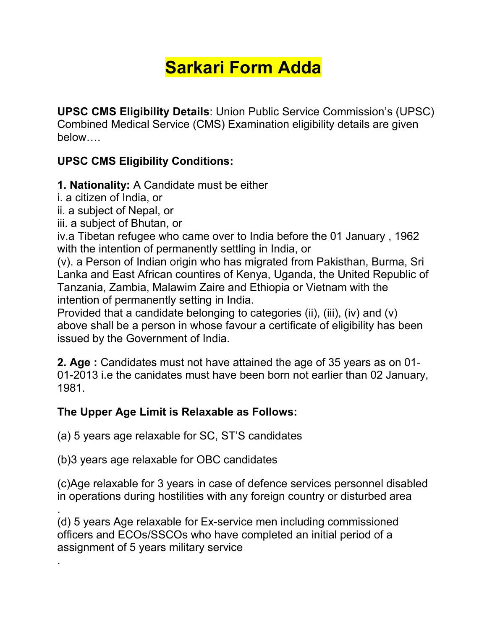# **Sarkari Form Adda**

**UPSC CMS Eligibility Details**: Union Public Service Commission's (UPSC) Combined Medical Service (CMS) Examination eligibility details are given below….

# **UPSC CMS Eligibility Conditions:**

#### **1. Nationality:** A Candidate must be either

i. a citizen of India, or

.

- ii. a subject of Nepal, or
- iii. a subject of Bhutan, or

iv.a Tibetan refugee who came over to India before the 01 January , 1962 with the intention of permanently settling in India, or

(v). a Person of Indian origin who has migrated from Pakisthan, Burma, Sri Lanka and East African countires of Kenya, Uganda, the United Republic of Tanzania, Zambia, Malawim Zaire and Ethiopia or Vietnam with the intention of permanently setting in India.

Provided that a candidate belonging to categories (ii), (iii), (iv) and (v) above shall be a person in whose favour a certificate of eligibility has been issued by the Government of India.

**2. Age :** Candidates must not have attained the age of 35 years as on 01- 01-2013 i.e the canidates must have been born not earlier than 02 January, 1981.

#### **The UpperAge Limit is Relaxable as Follows:**

(a) 5 years age relaxable for SC, ST'S candidates

(b)3 years age relaxable for OBC candidates

(c)Age relaxable for 3 years in case of defence services personnel disabled in operations during hostilities with any foreign country or disturbed area

.(d) <sup>5</sup> years Age relaxable for Ex-service men including commissioned officers and ECOs/SSCOs who have completed an initial period of a assignment of 5 years military service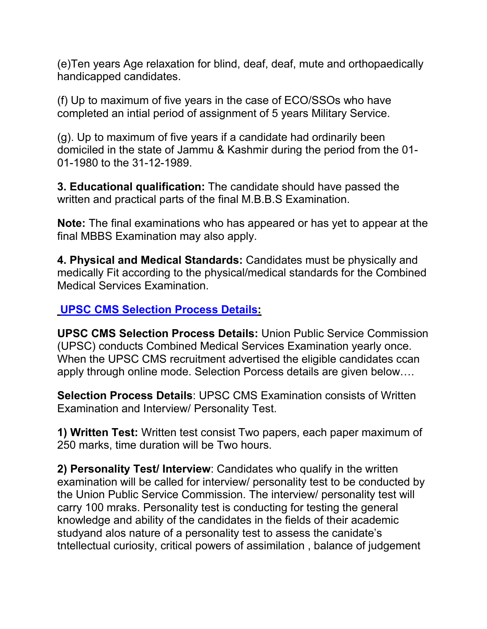(e)Ten years Age relaxation for blind, deaf, deaf, mute and orthopaedically handicapped candidates.

(f) Up to maximum of five years in the case of ECO/SSOs who have completed an intial period of assignment of 5 years Military Service.

(g). Up to maximum of five years if a candidate had ordinarily been domiciled in the state of Jammu & Kashmir during the period from the 01- 01-1980 to the 31-12-1989.

**3. Educational qualification:** The candidate should have passed the written and practical parts of the final M.B.B.S Examination.

**Note:** The final examinations who has appeared or has yet to appear at the final MBBS Examination may also apply.

**4. Physical and Medical Standards:** Candidates must be physically and medically Fit according to the physical/medical standards for the Combined Medical Services Examination.

#### **UPSC CMS [Selection](http://www.freejobalert.com/upsc-cms-selection-process/24766/) Process Details:**

**UPSC CMS Selection Process Details:** Union Public Service Commission (UPSC) conducts Combined Medical Services Examination yearly once. When the UPSC CMS recruitment advertised the eligible candidates ccan apply through online mode. Selection Porcess details are given below….

**Selection Process Details**: UPSC CMS Examination consists of Written Examination and Interview/ Personality Test.

**1) Written Test:** Written test consist Two papers, each paper maximum of 250 marks, time duration will be Two hours.

**2) Personality Test/ Interview**: Candidates who qualify in the written examination will be called for interview/ personality test to be conducted by the Union Public Service Commission. The interview/ personality test will carry 100 mraks. Personality test is conducting for testing the general knowledge and ability of the candidates in the fields of their academic studyand alos nature of a personality test to assess the canidate's tntellectual curiosity, critical powers of assimilation , balance of judgement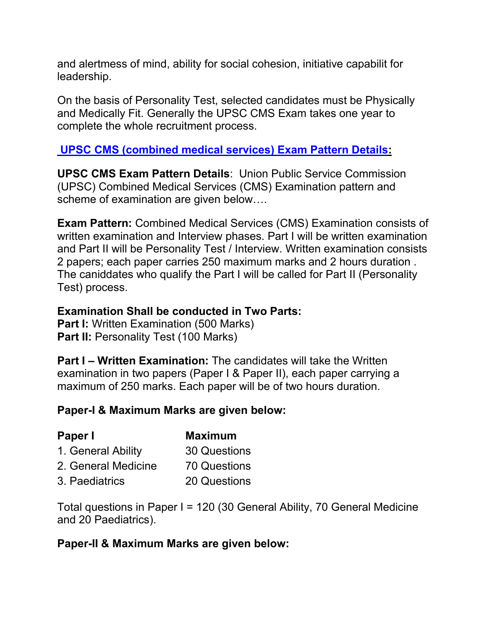and alertmess of mind, ability for social cohesion, initiative capabilit for leadership.

On the basis of Personality Test, selected candidates must be Physically and Medically Fit. Generally the UPSC CMS Exam takes one year to complete the whole recruitment process.

#### **UPSC CMS [\(combined](http://www.freejobalert.com/upsc-cms-exam-pattern/24750/) medical services) Exam Pattern Details:**

**UPSC CMS Exam Pattern Details**: Union Public Service Commission (UPSC) Combined Medical Services (CMS) Examination pattern and scheme of examination are given below….

**Exam Pattern:** Combined Medical Services (CMS) Examination consists of written examination and Interview phases. Part I will be written examination and Part II will be Personality Test / Interview. Written examination consists 2 papers; each paper carries 250 maximum marks and 2 hours duration . The caniddates who qualify the Part I will be called for Part II (Personality Test) process.

#### **Examination Shall be conducted in Two Parts:**

**Part I:** Written Examination (500 Marks) **Part II:** Personality Test (100 Marks)

**Part I – Written Examination:** The candidates will take the Written examination in two papers (Paper I & Paper II), each paper carrying a maximum of 250 marks. Each paper will be of two hours duration.

#### **Paper-I & Maximum Marks are given below:**

| Paper I             | <b>Maximum</b> |  |
|---------------------|----------------|--|
| 1. General Ability  | 30 Questions   |  |
| 2. General Medicine | 70 Questions   |  |
| 3. Paediatrics      | 20 Questions   |  |

Total questions in Paper I = 120 (30 General Ability, 70 General Medicine and 20 Paediatrics).

#### **Paper-II & Maximum Marks are given below:**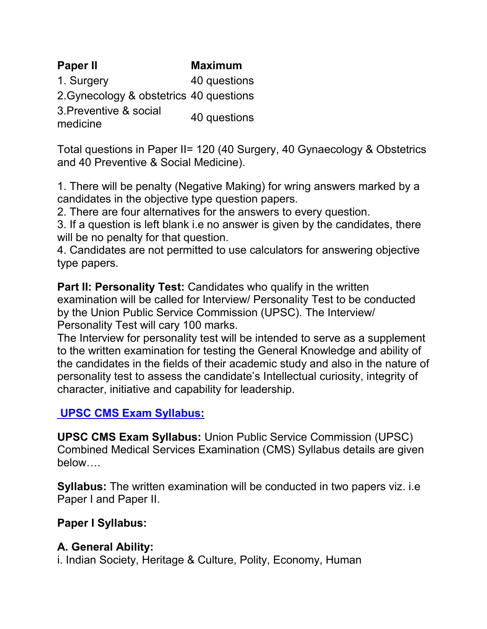| <b>Paper II</b>                         | <b>Maximum</b> |
|-----------------------------------------|----------------|
| 1. Surgery                              | 40 questions   |
| 2. Gynecology & obstetrics 40 questions |                |
| 3. Preventive & social<br>medicine      | 40 questions   |

Total questions in Paper II= 120 (40 Surgery, 40 Gynaecology & Obstetrics and 40 Preventive & Social Medicine).

1. There will be penalty (Negative Making) for wring answers marked by a candidates in the objective type question papers.

2. There are four alternatives for the answers to every question.

3. If a question is left blank i.e no answer is given by the candidates, there will be no penalty for that question.

4. Candidates are not permitted to use calculators for answering objective type papers.

**Part II: Personality Test:** Candidates who qualify in the written examination will be called for Interview/ Personality Test to be conducted by the Union Public Service Commission (UPSC). The Interview/ Personality Test will cary 100 marks.

The Interview for personality test will be intended to serve as a supplement to the written examination for testing the General Knowledge and ability of the candidates in the fields of their academic study and also in the nature of personality test to assess the candidate's Intellectual curiosity, integrity of character, initiative and capability for leadership.

#### **UPSC CMS Exam [Syllabus](http://www.freejobalert.com/upsc-cms-exam-syllabus/24753/):**

**UPSC CMS Exam Syllabus:** Union Public Service Commission (UPSC) Combined Medical Services Examination (CMS) Syllabus details are given below….

**Syllabus:** The written examination will be conducted in two papers viz. i.e Paper I and Paper II.

#### **Paper I Syllabus:**

#### **A. General Ability:**

i. Indian Society, Heritage & Culture, Polity, Economy, Human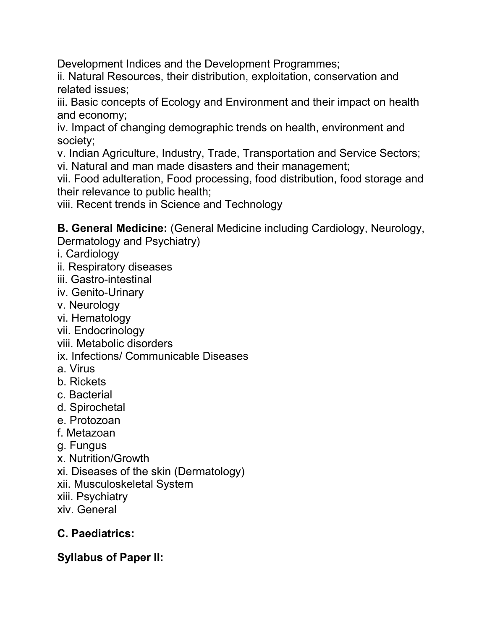Development Indices and the Development Programmes;

ii. Natural Resources, their distribution, exploitation, conservation and related issues;

iii. Basic concepts of Ecology and Environment and their impact on health and economy;

iv. Impact of changing demographic trends on health, environment and society;

v. Indian Agriculture, Industry, Trade, Transportation and Service Sectors; vi. Natural and man made disasters and their management;

vii. Food adulteration, Food processing, food distribution, food storage and their relevance to public health;

viii. Recent trends in Science and Technology

**B. General Medicine:** (General Medicine including Cardiology, Neurology, Dermatology and Psychiatry)

- i. Cardiology
- ii. Respiratory diseases
- iii. Gastro-intestinal
- iv. Genito-Urinary
- v. Neurology
- vi. Hematology
- vii. Endocrinology
- viii. Metabolic disorders
- ix. Infections/ Communicable Diseases
- a. Virus
- b. Rickets
- c. Bacterial
- d. Spirochetal
- e. Protozoan
- f. Metazoan
- g. Fungus
- x. Nutrition/Growth
- xi. Diseases of the skin (Dermatology)
- xii. Musculoskeletal System
- xiii. Psychiatry
- xiv. General

# **C. Paediatrics:**

#### **Syllabus of Paper II:**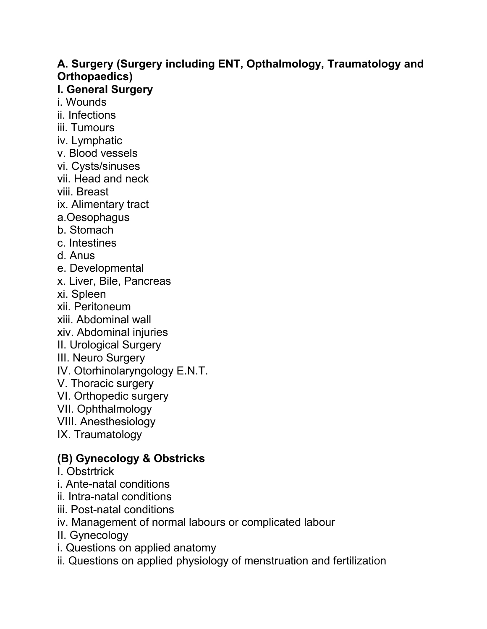# **A. Surgery (Surgery including ENT, Opthalmology, Traumatology and Orthopaedics)**

### **I. General Surgery**

- i. Wounds
- ii. Infections
- iii. Tumours
- iv. Lymphatic
- v. Blood vessels
- vi. Cysts/sinuses
- vii. Head and neck
- viii. Breast
- ix. Alimentary tract
- a.Oesophagus
- b. Stomach
- c. Intestines
- d. Anus
- e. Developmental
- x. Liver, Bile, Pancreas
- xi. Spleen
- xii. Peritoneum
- xiii. Abdominal wall
- xiv. Abdominal injuries
- II. Urological Surgery
- III. Neuro Surgery
- IV. Otorhinolaryngology E.N.T.
- V. Thoracic surgery
- VI. Orthopedic surgery
- VII. Ophthalmology
- VIII. Anesthesiology
- IX. Traumatology

# **(B) Gynecology & Obstricks**

- I. Obstrtrick
- i. Ante-natal conditions
- ii. Intra-natal conditions
- iii. Post-natal conditions
- iv. Management of normal labours or complicated labour
- II. Gynecology
- i. Questions on applied anatomy
- ii. Questions on applied physiology of menstruation and fertilization